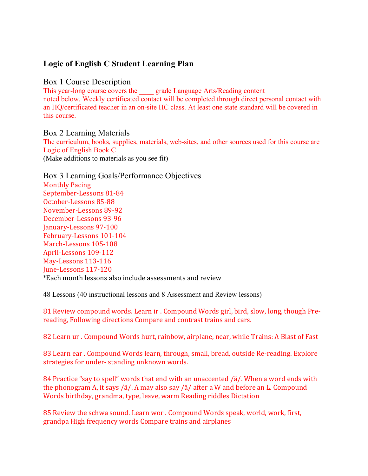# **Logic of English C Student Learning Plan**

### Box 1 Course Description

This year-long course covers the \_\_\_\_ grade Language Arts/Reading content noted below. Weekly certificated contact will be completed through direct personal contact with an HQ/certificated teacher in an on-site HC class. At least one state standard will be covered in this course.

Box 2 Learning Materials The curriculum, books, supplies, materials, web-sites, and other sources used for this course are

Logic of English Book C (Make additions to materials as you see fit)

Box 3 Learning Goals/Performance Objectives **Monthly Pacing** September-Lessons 81-84 October-Lessons 85-88 November-Lessons 89-92 December-Lessons 93-96 January-Lessons 97-100 February-Lessons 101-104 March-Lessons 105-108 April-Lessons 109-112 May-Lessons 113-116 June-Lessons 117-120 \*Each month lessons also include assessments and review

48 Lessons (40 instructional lessons and 8 Assessment and Review lessons)

81 Review compound words. Learn ir . Compound Words girl, bird, slow, long, though Prereading, Following directions Compare and contrast trains and cars.

82 Learn ur . Compound Words hurt, rainbow, airplane, near, while Trains: A Blast of Fast

83 Learn ear . Compound Words learn, through, small, bread, outside Re-reading. Explore strategies for under-standing unknown words.

84 Practice "say to spell" words that end with an unaccented  $/i/$ . When a word ends with the phonogram A, it says / $a$ /. A may also say / $a$ / after a W and before an L. Compound Words birthday, grandma, type, leave, warm Reading riddles Dictation

85 Review the schwa sound. Learn wor . Compound Words speak, world, work, first, grandpa High frequency words Compare trains and airplanes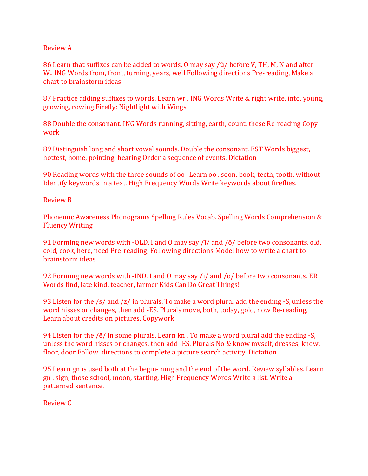#### Review A

86 Learn that suffixes can be added to words. O may say  $\Delta$  before V, TH, M, N and after W.. ING Words from, front, turning, years, well Following directions Pre-reading, Make a chart to brainstorm ideas.

87 Practice adding suffixes to words. Learn wr . ING Words Write & right write, into, young, growing, rowing Firefly: Nightlight with Wings

88 Double the consonant. ING Words running, sitting, earth, count, these Re-reading Copy work 

89 Distinguish long and short vowel sounds. Double the consonant. EST Words biggest, hottest, home, pointing, hearing Order a sequence of events. Dictation

90 Reading words with the three sounds of oo . Learn oo . soon, book, teeth, tooth, without Identify keywords in a text. High Frequency Words Write keywords about fireflies.

Review B 

Phonemic Awareness Phonograms Spelling Rules Vocab. Spelling Words Comprehension & Fluency Writing 

91 Forming new words with -OLD. I and O may say  $\sqrt{I}/$  and  $\sqrt{O}/$  before two consonants. old, cold, cook, here, need Pre-reading, Following directions Model how to write a chart to brainstorm ideas. 

92 Forming new words with -IND. I and O may say  $\sqrt{i}/$  and  $\sqrt{\sigma}/$  before two consonants. ER Words find, late kind, teacher, farmer Kids Can Do Great Things!

93 Listen for the  $/s$  and  $/z$  in plurals. To make a word plural add the ending -S, unless the word hisses or changes, then add -ES. Plurals move, both, today, gold, now Re-reading, Learn about credits on pictures. Copywork

94 Listen for the  $/ě/$  in some plurals. Learn kn. To make a word plural add the ending -S, unless the word hisses or changes, then add -ES. Plurals No & know myself, dresses, know, floor, door Follow directions to complete a picture search activity. Dictation

95 Learn gn is used both at the begin- ning and the end of the word. Review syllables. Learn gn. sign, those school, moon, starting, High Frequency Words Write a list. Write a patterned sentence.

Review C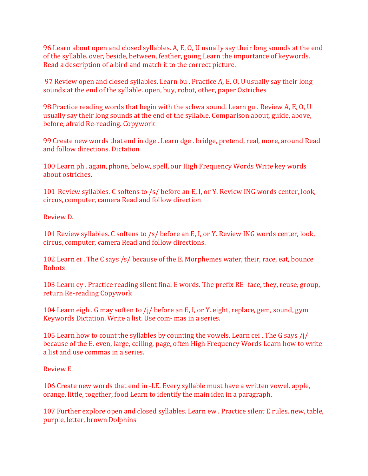96 Learn about open and closed syllables. A, E, O, U usually say their long sounds at the end of the syllable. over, beside, between, feather, going Learn the importance of keywords. Read a description of a bird and match it to the correct picture.

97 Review open and closed syllables. Learn bu . Practice A, E, O, U usually say their long sounds at the end of the syllable. open, buy, robot, other, paper Ostriches

98 Practice reading words that begin with the schwa sound. Learn gu. Review A, E, O, U usually say their long sounds at the end of the syllable. Comparison about, guide, above, before, afraid Re-reading. Copywork

99 Create new words that end in dge . Learn dge . bridge, pretend, real, more, around Read and follow directions. Dictation

100 Learn ph. again, phone, below, spell, our High Frequency Words Write key words about ostriches.

101-Review syllables. C softens to /s/ before an E, I, or Y. Review ING words center, look, circus, computer, camera Read and follow direction

Review D. 

101 Review syllables. C softens to /s/ before an E, I, or Y. Review ING words center, look, circus, computer, camera Read and follow directions.

102 Learn ei. The C says /s/ because of the E. Morphemes water, their, race, eat, bounce Robots 

103 Learn ey . Practice reading silent final E words. The prefix RE- face, they, reuse, group, return Re-reading Copywork

104 Learn eigh. G may soften to /j/ before an E, I, or Y. eight, replace, gem, sound, gym Keywords Dictation. Write a list. Use com- mas in a series.

105 Learn how to count the syllables by counting the vowels. Learn cei. The G says  $\frac{1}{1}$ because of the E. even, large, ceiling, page, often High Frequency Words Learn how to write a list and use commas in a series.

Review E 

106 Create new words that end in -LE. Every syllable must have a written vowel. apple, orange, little, together, food Learn to identify the main idea in a paragraph.

107 Further explore open and closed syllables. Learn ew . Practice silent E rules. new, table, purple, letter, brown Dolphins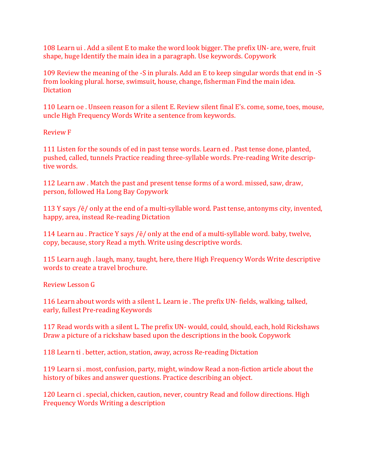108 Learn ui . Add a silent E to make the word look bigger. The prefix UN- are, were, fruit shape, huge Identify the main idea in a paragraph. Use keywords. Copywork

109 Review the meaning of the -S in plurals. Add an E to keep singular words that end in -S from looking plural. horse, swimsuit, house, change, fisherman Find the main idea. **Dictation** 

110 Learn oe . Unseen reason for a silent E. Review silent final E's. come, some, toes, mouse, uncle High Frequency Words Write a sentence from keywords.

Review F 

111 Listen for the sounds of ed in past tense words. Learn ed. Past tense done, planted, pushed, called, tunnels Practice reading three-syllable words. Pre-reading Write descriptive words.

112 Learn aw . Match the past and present tense forms of a word. missed, saw, draw, person, followed Ha Long Bay Copywork

113 Y says  $/ê/$  only at the end of a multi-syllable word. Past tense, antonyms city, invented, happy, area, instead Re-reading Dictation

114 Learn au . Practice Y says  $/ê/$  only at the end of a multi-syllable word. baby, twelve, copy, because, story Read a myth. Write using descriptive words.

115 Learn augh . laugh, many, taught, here, there High Frequency Words Write descriptive words to create a travel brochure.

Review Lesson G 

116 Learn about words with a silent L. Learn ie . The prefix UN- fields, walking, talked, early, fullest Pre-reading Keywords

117 Read words with a silent L. The prefix UN- would, could, should, each, hold Rickshaws Draw a picture of a rickshaw based upon the descriptions in the book. Copywork

118 Learn ti . better, action, station, away, across Re-reading Dictation

119 Learn si . most, confusion, party, might, window Read a non-fiction article about the history of bikes and answer questions. Practice describing an object.

120 Learn ci. special, chicken, caution, never, country Read and follow directions. High Frequency Words Writing a description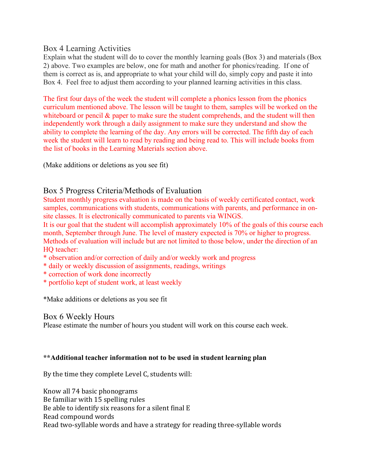Box 4 Learning Activities

Explain what the student will do to cover the monthly learning goals (Box 3) and materials (Box 2) above. Two examples are below, one for math and another for phonics/reading. If one of them is correct as is, and appropriate to what your child will do, simply copy and paste it into Box 4. Feel free to adjust them according to your planned learning activities in this class.

The first four days of the week the student will complete a phonics lesson from the phonics curriculum mentioned above. The lesson will be taught to them, samples will be worked on the whiteboard or pencil  $\&$  paper to make sure the student comprehends, and the student will then independently work through a daily assignment to make sure they understand and show the ability to complete the learning of the day. Any errors will be corrected. The fifth day of each week the student will learn to read by reading and being read to. This will include books from the list of books in the Learning Materials section above.

(Make additions or deletions as you see fit)

## Box 5 Progress Criteria/Methods of Evaluation

Student monthly progress evaluation is made on the basis of weekly certificated contact, work samples, communications with students, communications with parents, and performance in onsite classes. It is electronically communicated to parents via WINGS.

It is our goal that the student will accomplish approximately 10% of the goals of this course each month, September through June. The level of mastery expected is 70% or higher to progress. Methods of evaluation will include but are not limited to those below, under the direction of an HQ teacher:

- \* observation and/or correction of daily and/or weekly work and progress
- \* daily or weekly discussion of assignments, readings, writings
- \* correction of work done incorrectly
- \* portfolio kept of student work, at least weekly

\*Make additions or deletions as you see fit

### Box 6 Weekly Hours

Please estimate the number of hours you student will work on this course each week.

#### **\*\*Additional teacher information not to be used in student learning plan**

By the time they complete Level C, students will:

Know all 74 basic phonograms Be familiar with 15 spelling rules Be able to identify six reasons for a silent final E Read compound words Read two-syllable words and have a strategy for reading three-syllable words